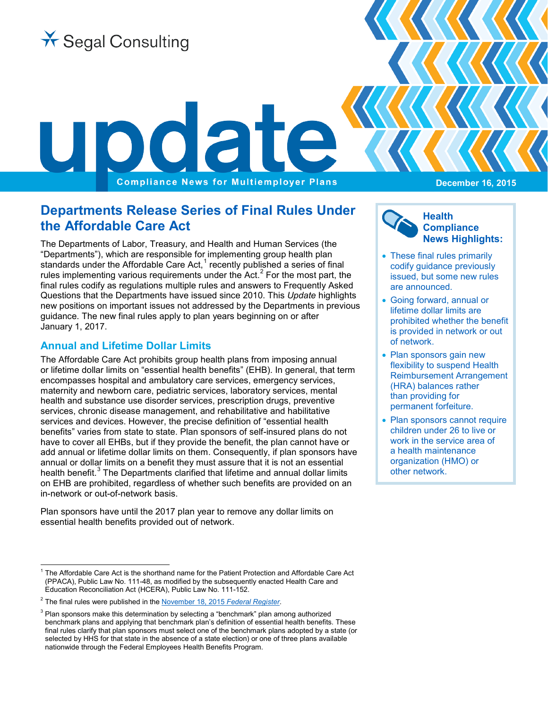

**Compliance News for Multiemployer Plans** 

# **Departments Release Series of Final Rules Under the Affordable Care Act**

The Departments of Labor, Treasury, and Health and Human Services (the "Departments"), which are responsible for implementing group health plan standards under the Affordable Care Act,<sup>[1](#page-0-0)</sup> recently published a series of final rules implementing various requirements under the Act. $<sup>2</sup>$  $<sup>2</sup>$  $<sup>2</sup>$  For the most part, the</sup> final rules codify as regulations multiple rules and answers to Frequently Asked Questions that the Departments have issued since 2010. This *Update* highlights new positions on important issues not addressed by the Departments in previous guidance. The new final rules apply to plan years beginning on or after January 1, 2017.

# **Annual and Lifetime Dollar Limits**

The Affordable Care Act prohibits group health plans from imposing annual or lifetime dollar limits on "essential health benefits" (EHB). In general, that term encompasses hospital and ambulatory care services, emergency services, maternity and newborn care, pediatric services, laboratory services, mental health and substance use disorder services, prescription drugs, preventive services, chronic disease management, and rehabilitative and habilitative services and devices. However, the precise definition of "essential health benefits" varies from state to state. Plan sponsors of self-insured plans do not have to cover all EHBs, but if they provide the benefit, the plan cannot have or add annual or lifetime dollar limits on them. Consequently, if plan sponsors have annual or dollar limits on a benefit they must assure that it is not an essential health benefit.<sup>[3](#page-0-2)</sup> The Departments clarified that lifetime and annual dollar limits on EHB are prohibited, regardless of whether such benefits are provided on an in-network or out-of-network basis.

Plan sponsors have until the 2017 plan year to remove any dollar limits on essential health benefits provided out of network.

**December 16, 2015**

### **Health Compliance News Highlights:**

- These final rules primarily codify guidance previously issued, but some new rules are announced.
- Going forward, annual or lifetime dollar limits are prohibited whether the benefit is provided in network or out of network.
- Plan sponsors gain new flexibility to suspend Health Reimbursement Arrangement (HRA) balances rather than providing for permanent forfeiture.
- Plan sponsors cannot require children under 26 to live or work in the service area of a health maintenance organization (HMO) or other network.

<span id="page-0-0"></span><sup>1</sup> The Affordable Care Act is the shorthand name for the Patient Protection and Affordable Care Act (PPACA), Public Law No. 111-48, as modified by the subsequently enacted Health Care and Education Reconciliation Act (HCERA), Public Law No. 111-152.

<span id="page-0-1"></span><sup>2</sup> The final rules were published in th[e November 18, 2015](http://www.gpo.gov/fdsys/pkg/FR-2015-11-18/pdf/2015-29294.pdf) *Federal Register*.

<span id="page-0-2"></span> $3$  Plan sponsors make this determination by selecting a "benchmark" plan among authorized benchmark plans and applying that benchmark plan's definition of essential health benefits. These final rules clarify that plan sponsors must select one of the benchmark plans adopted by a state (or selected by HHS for that state in the absence of a state election) or one of three plans available nationwide through the Federal Employees Health Benefits Program.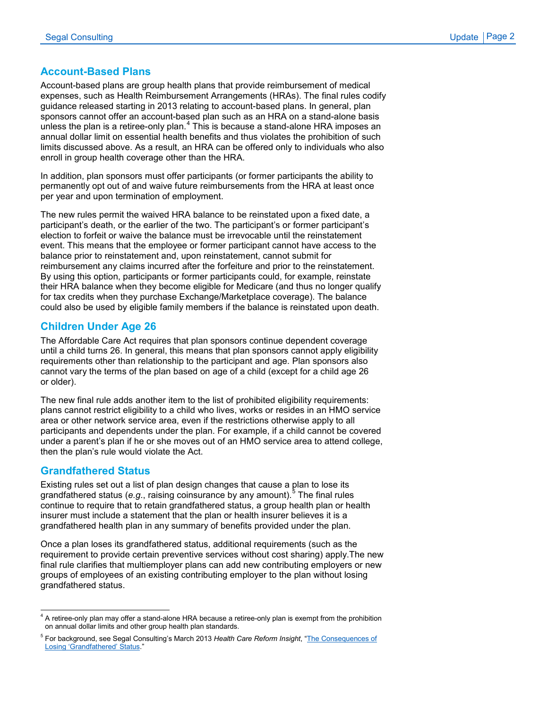#### **Account-Based Plans**

Account-based plans are group health plans that provide reimbursement of medical expenses, such as Health Reimbursement Arrangements (HRAs). The final rules codify guidance released starting in 2013 relating to account-based plans. In general, plan sponsors cannot offer an account-based plan such as an HRA on a stand-alone basis unless the plan is a retiree-only plan. $<sup>4</sup>$  $<sup>4</sup>$  $<sup>4</sup>$  This is because a stand-alone HRA imposes an</sup> annual dollar limit on essential health benefits and thus violates the prohibition of such limits discussed above. As a result, an HRA can be offered only to individuals who also enroll in group health coverage other than the HRA.

In addition, plan sponsors must offer participants (or former participants the ability to permanently opt out of and waive future reimbursements from the HRA at least once per year and upon termination of employment.

The new rules permit the waived HRA balance to be reinstated upon a fixed date, a participant's death, or the earlier of the two. The participant's or former participant's election to forfeit or waive the balance must be irrevocable until the reinstatement event. This means that the employee or former participant cannot have access to the balance prior to reinstatement and, upon reinstatement, cannot submit for reimbursement any claims incurred after the forfeiture and prior to the reinstatement. By using this option, participants or former participants could, for example, reinstate their HRA balance when they become eligible for Medicare (and thus no longer qualify for tax credits when they purchase Exchange/Marketplace coverage). The balance could also be used by eligible family members if the balance is reinstated upon death.

### **Children Under Age 26**

The Affordable Care Act requires that plan sponsors continue dependent coverage until a child turns 26. In general, this means that plan sponsors cannot apply eligibility requirements other than relationship to the participant and age. Plan sponsors also cannot vary the terms of the plan based on age of a child (except for a child age 26 or older).

The new final rule adds another item to the list of prohibited eligibility requirements: plans cannot restrict eligibility to a child who lives, works or resides in an HMO service area or other network service area, even if the restrictions otherwise apply to all participants and dependents under the plan. For example, if a child cannot be covered under a parent's plan if he or she moves out of an HMO service area to attend college, then the plan's rule would violate the Act.

#### **Grandfathered Status**

Existing rules set out a list of plan design changes that cause a plan to lose its grandfathered status (*e.g.*, raising coinsurance by any amount).<sup>[5](#page-1-1)</sup> The final rules continue to require that to retain grandfathered status, a group health plan or health insurer must include a statement that the plan or health insurer believes it is a grandfathered health plan in any summary of benefits provided under the plan.

Once a plan loses its grandfathered status, additional requirements (such as the requirement to provide certain preventive services without cost sharing) apply.The new final rule clarifies that multiemployer plans can add new contributing employers or new groups of employees of an existing contributing employer to the plan without losing grandfathered status.

<span id="page-1-0"></span> $4$  A retiree-only plan may offer a stand-alone HRA because a retiree-only plan is exempt from the prohibition on annual dollar limits and other group health plan standards.

<span id="page-1-1"></span><sup>5</sup> For background, see Segal Consulting's March 2013 *Health Care Reform Insight*, ["The Consequences of](http://archive.segalco.com/publications/HCRI/march2013nonG.pdf)  [Losing 'Grandfathered' Status.](http://archive.segalco.com/publications/HCRI/march2013nonG.pdf)"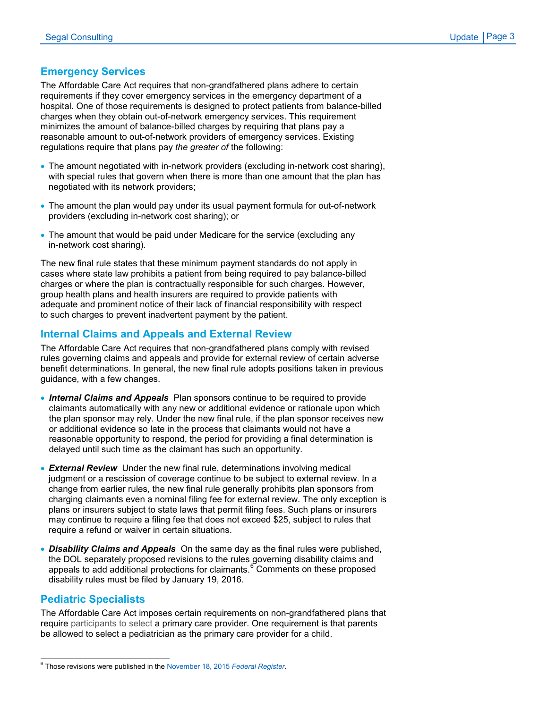### **Emergency Services**

The Affordable Care Act requires that non-grandfathered plans adhere to certain requirements if they cover emergency services in the emergency department of a hospital. One of those requirements is designed to protect patients from balance-billed charges when they obtain out-of-network emergency services. This requirement minimizes the amount of balance-billed charges by requiring that plans pay a reasonable amount to out-of-network providers of emergency services. Existing regulations require that plans pay *the greater of* the following:

- The amount negotiated with in-network providers (excluding in-network cost sharing), with special rules that govern when there is more than one amount that the plan has negotiated with its network providers;
- The amount the plan would pay under its usual payment formula for out-of-network providers (excluding in-network cost sharing); or
- The amount that would be paid under Medicare for the service (excluding any in-network cost sharing).

The new final rule states that these minimum payment standards do not apply in cases where state law prohibits a patient from being required to pay balance-billed charges or where the plan is contractually responsible for such charges. However, group health plans and health insurers are required to provide patients with adequate and prominent notice of their lack of financial responsibility with respect to such charges to prevent inadvertent payment by the patient.

## **Internal Claims and Appeals and External Review**

The Affordable Care Act requires that non-grandfathered plans comply with revised rules governing claims and appeals and provide for external review of certain adverse benefit determinations. In general, the new final rule adopts positions taken in previous guidance, with a few changes.

- *Internal Claims and Appeals* Plan sponsors continue to be required to provide claimants automatically with any new or additional evidence or rationale upon which the plan sponsor may rely. Under the new final rule, if the plan sponsor receives new or additional evidence so late in the process that claimants would not have a reasonable opportunity to respond, the period for providing a final determination is delayed until such time as the claimant has such an opportunity.
- *External Review* Under the new final rule, determinations involving medical judgment or a rescission of coverage continue to be subject to external review. In a change from earlier rules, the new final rule generally prohibits plan sponsors from charging claimants even a nominal filing fee for external review. The only exception is plans or insurers subject to state laws that permit filing fees. Such plans or insurers may continue to require a filing fee that does not exceed \$25, subject to rules that require a refund or waiver in certain situations.
- *Disability Claims and Appeals* On the same day as the final rules were published, the DOL separately proposed revisions to the rules governing disability claims and appeals to add additional protections for claimants.<sup>[6](#page-2-0)</sup> Comments on these proposed disability rules must be filed by January 19, 2016.

### **Pediatric Specialists**

The Affordable Care Act imposes certain requirements on non-grandfathered plans that require participants to select a primary care provider. One requirement is that parents be allowed to select a pediatrician as the primary care provider for a child.

<span id="page-2-0"></span><sup>6</sup> Those revisions were published in th[e November 18, 2015](https://www.gpo.gov/fdsys/pkg/FR-2015-11-18/pdf/2015-29295.pdf) *Federal Register*.